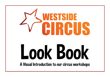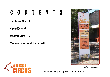### CONTENTS

The Circus Studio 3

Circus Rules 6

What we wear 7

The objects we use at the circus 8



Outside the studio

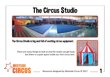## The Circus Studio



The Circus Studio is big and full of exciting circus equipment.

There are many things to look at and the studio can get loud, but there is a quiet space inside our mini circus tent.



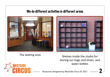### We do different activities in different areas



The waiting area Shelves inside the studio for storing our bags and shoes and water bottles

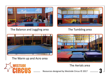

The Balance and Juggling area



### The Tumbling area



The Warm up and Acro area



#### The Aerials area

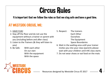## Circus Rules

It is important that we follow the rules so that we stay safe and have a good time.

### AT WESTSIDE CIRCUS, WE:

- 1. HAVE FUN!
- 2. Stay off the floor and do not use the equipment without a trainer or parent with you (including before and after class)
- 3. Listen to the Trainers (& they will listen to you)
- 4. Be Safe: With each other On our own With the equipment With the space
- 5. Respect: The trainers Each Other **Ourselves**  The Equipment Space Boundaries
- 6. Wait in the waiting area until your trainer invites you into your class (parents please wait with your children utnil tHE class starts
- 7. Do not wear shoes or eat food on the mats

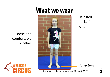### What we wear



Hair tied back, if it is long

Bare feet

Loose and comfortable clothes

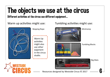## The objects we use at the circus

Different activities at the circus use different equipment...

Warm up activities might use:



Skipping Rope

- Warm Up activities
- might also
- use other
- eqipment
- in the circus
- studio.



Tumbling activities might use:

Minitramp

Tumbling Blocks

Big Mats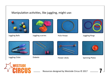### Manipulation activities, like juggling, might use:



Juggling Balls



Juggling scarves



Hula Hoops



Juggling Rings



Juggling Clubs



Diabolo



Flower sticks



Spinning Plates

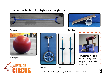### Balance activities, like tightrope, might use:





#### Tightrope **Rola Bola** Rola Bola Bola Rola Bola Bola Rola Bola Rola Bola Rola Bola Rola Bola Rola Bola Rola Rola



Walking Globe







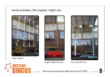#### Aerial activities, like trapeze, might use:



Triple Trapeze





Single Trapeze & mats



Tissu Loop & Tissu